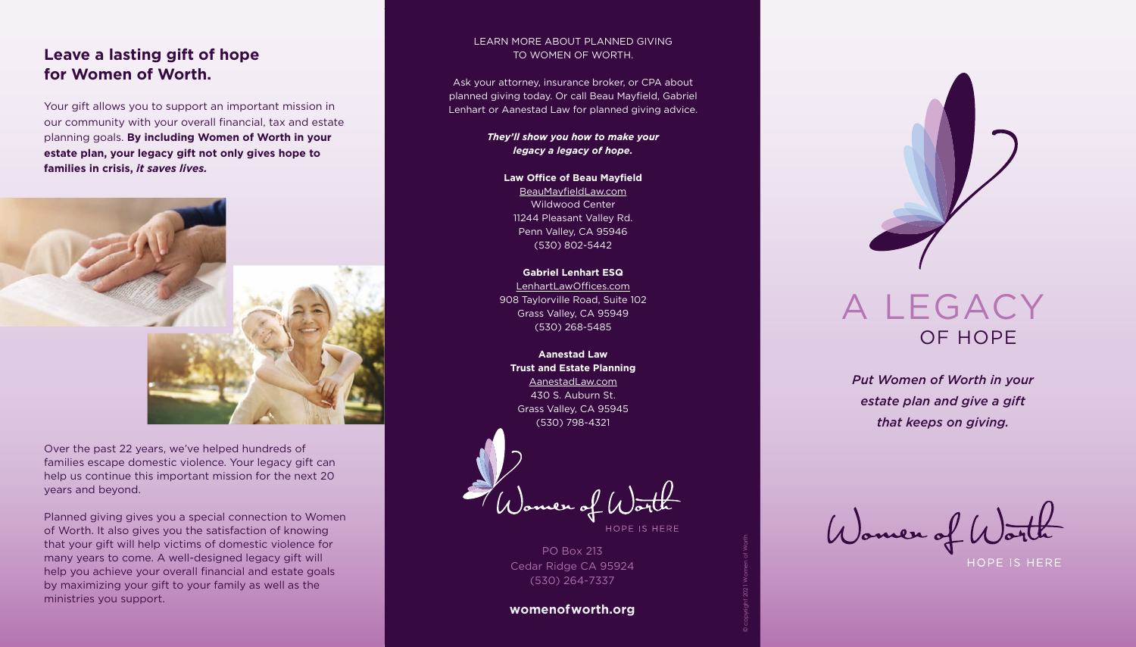## **Leave a lasting gift of hope for Women of Worth.**

Your gift allows you to support an important mission in our community with your overall financial, tax and estate planning goals. **By including Women of Worth in your estate plan, your legacy gift not only gives hope to families in crisis,** *it saves lives.* 



Over the past 22 years, we've helped hundreds of families escape domestic violence. Your legacy gift can help us continue this important mission for the next 20 years and beyond.

Planned giving gives you a special connection to Women of Worth. It also gives you the satisfaction of knowing that your gift will help victims of domestic violence for many years to come. A well-designed legacy gift will help you achieve your overall financial and estate goals by maximizing your gift to your family as well as the ministries you support.

**Law Office of Beau Mayfield** BeauMayfieldLaw.com Wildwood Center 11244 Pleasant Valley Rd. Penn Valley, CA 95946 (530) 802-5442

# A LEGACY OF HOPE



*Put Women of Worth in your estate plan and give a gift that keeps on giving.*



#### LEARN MORE ABOUT PLANNED GIVING TO WOMEN OF WORTH.

Ask your attorney, insurance broker, or CPA about planned giving today. Or call Beau Mayfield, Gabriel Lenhart or Aanestad Law for planned giving advice.

> *They'll show you how to make your legacy a legacy of hope.*

**Gabriel Lenhart ESQ** LenhartLawOffices.com 908 Taylorville Road, Suite 102 Grass Valley, CA 95949 (530) 268-5485

**Aanestad Law Trust and Estate Planning** AanestadLaw.com 430 S. Auburn St. Grass Valley, CA 95945 (530) 798-4321

Nomen of U

HOPE IS HERE

PO Box 213 Cedar Ridge CA 95924 (530) 264-7337

**womenofworth.org**

© copyright 2021 Women of Worth